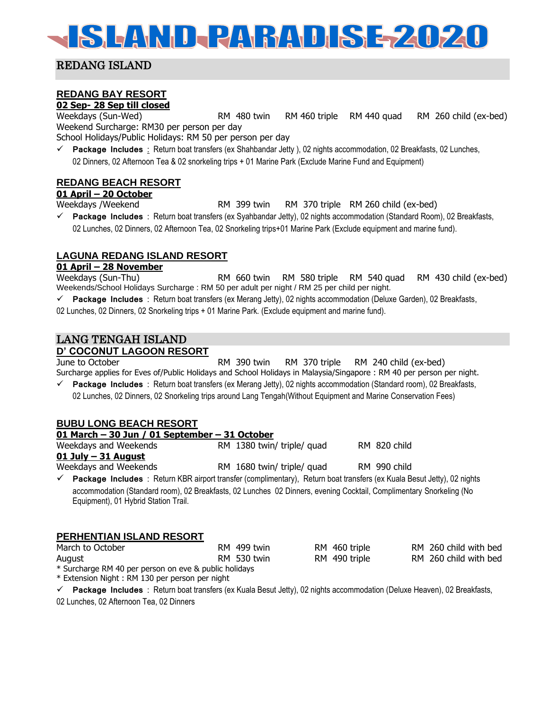# **SLAND-PARADISEZ020**

# REDANG ISLAND

# **REDANG BAY RESORT**

**02 Sep- 28 Sep till closed**

Weekdays (Sun-Wed) RM 480 twin RM 460 triple RM 440 quad RM 260 child (ex-bed) Weekend Surcharge: RM30 per person per day

School Holidays/Public Holidays: RM 50 per person per day

✓ **Package Includes** : Return boat transfers (ex Shahbandar Jetty ), 02 nights accommodation, 02 Breakfasts, 02 Lunches, 02 Dinners, 02 Afternoon Tea & 02 snorkeling trips + 01 Marine Park (Exclude Marine Fund and Equipment)

# **REDANG BEACH RESORT**

#### **01 April – 20 October**

Weekdays /Weekend RM 399 twin RM 370 triple RM 260 child (ex-bed)

✓ **Package Includes** : Return boat transfers (ex Syahbandar Jetty), 02 nights accommodation (Standard Room), 02 Breakfasts, 02 Lunches, 02 Dinners, 02 Afternoon Tea, 02 Snorkeling trips+01 Marine Park (Exclude equipment and marine fund).

# **LAGUNA REDANG ISLAND RESORT**

#### **01 April – 28 November**

Weekdays (Sun-Thu) RM 660 twin RM 580 triple RM 540 quad RM 430 child (ex-bed) Weekends/School Holidays Surcharge : RM 50 per adult per night / RM 25 per child per night.

✓ **Package Includes** : Return boat transfers (ex Merang Jetty), 02 nights accommodation (Deluxe Garden), 02 Breakfasts,

02 Lunches, 02 Dinners, 02 Snorkeling trips + 01 Marine Park. (Exclude equipment and marine fund).

# LANG TENGAH ISLAND

## **D' COCONUT LAGOON RESORT**

June to October RM 390 twin RM 370 triple RM 240 child (ex-bed) Surcharge applies for Eves of/Public Holidays and School Holidays in Malaysia/Singapore : RM 40 per person per night.

✓ **Package Includes** : Return boat transfers (ex Merang Jetty), 02 nights accommodation (Standard room), 02 Breakfasts, 02 Lunches, 02 Dinners, 02 Snorkeling trips around Lang Tengah(Without Equipment and Marine Conservation Fees)

#### **BUBU LONG BEACH RESORT**

#### **01 March – 30 Jun / 01 September – 31 October** Weekdays and Weekends **RM 1380 twin/ triple/ quad** RM 820 child **01 July – 31 August**  Weekdays and Weekends **RM 1680 twin/ triple/ quad** RM 990 child

✓ **Package Includes** : Return KBR airport transfer (complimentary), Return boat transfers (ex Kuala Besut Jetty), 02 nights accommodation (Standard room), 02 Breakfasts, 02 Lunches 02 Dinners, evening Cocktail, Complimentary Snorkeling (No Equipment), 01 Hybrid Station Trail.

## **PERHENTIAN ISLAND RESORT**

| March to October                                      | RM 499 twin | RM 460 triple | RM 260 child with bed |
|-------------------------------------------------------|-------------|---------------|-----------------------|
| August                                                | RM 530 twin | RM 490 triple | RM 260 child with bed |
| * Surcharge RM 40 per person on eve & public holidays |             |               |                       |

\* Extension Night : RM 130 per person per night

✓ **Package Includes** : Return boat transfers (ex Kuala Besut Jetty), 02 nights accommodation (Deluxe Heaven), 02 Breakfasts, 02 Lunches, 02 Afternoon Tea, 02 Dinners